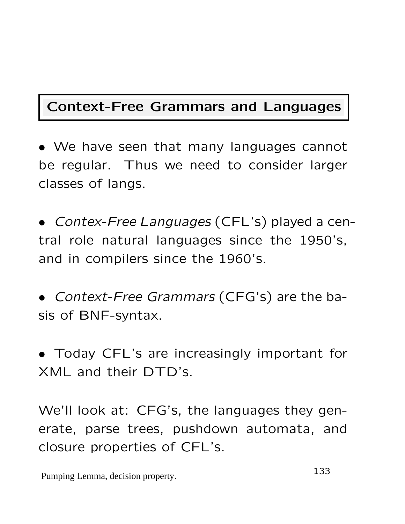## Context-Free Grammars and Languages

• We have seen that many languages cannot be regular. Thus we need to consider larger classes of langs.

• Contex-Free Languages (CFL's) played a central role natural languages since the 1950's, and in compilers since the 1960's.

• Context-Free Grammars (CFG's) are the basis of BNF-syntax.

• Today CFL's are increasingly important for XML and their DTD's.

We'll look at: CFG's, the languages they generate, parse trees, pushdown automata, and closure properties of CFL's.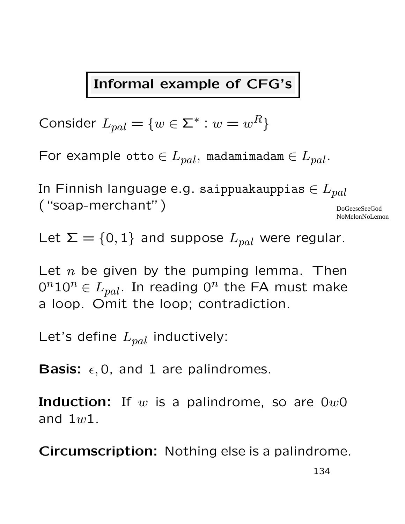### Informal example of CFG's

Consider  $L_{pal} = \{w \in \Sigma^* : w = w^R\}$ 

For example otto  $\in L_{pal}$ , madamimadam  $\in L_{pal}$ .

In Finnish language e.g. saippuakauppias  $\in L_{pal}$ ("soap-merchant") DoGeeseSeeGod NoMelonNoLemon

Let  $\Sigma = \{0, 1\}$  and suppose  $L_{pal}$  were regular.

Let  $n$  be given by the pumping lemma. Then  $0^n10^n \in L_{pal}.$  In reading  $0^n$  the FA must make a loop. Omit the loop; contradiction.

Let's define  $L_{pal}$  inductively:

**Basis:**  $\epsilon$ , 0, and 1 are palindromes.

**Induction:** If  $w$  is a palindrome, so are  $0w0$ and  $1w1$ .

Circumscription: Nothing else is a palindrome.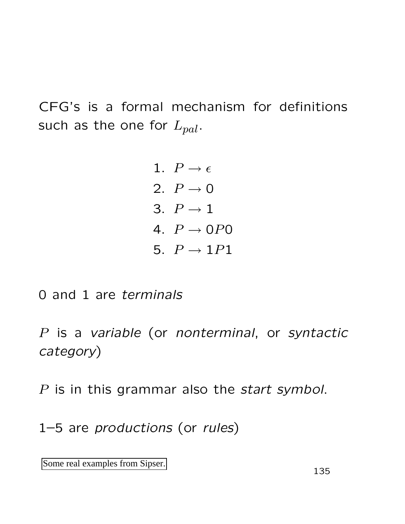CFG's is a formal mechanism for definitions such as the one for  $L_{pal}$ .

> 1.  $P \rightarrow \epsilon$ 2.  $P \rightarrow 0$ 3.  $P \rightarrow 1$ 4.  $P \rightarrow OPO$ 5.  $P \rightarrow 1P1$

0 and 1 are terminals

P is a variable (or nonterminal, or syntactic category)

P is in this grammar also the *start symbol*.

1–5 are productions (or rules)

Some real examples from Sipser.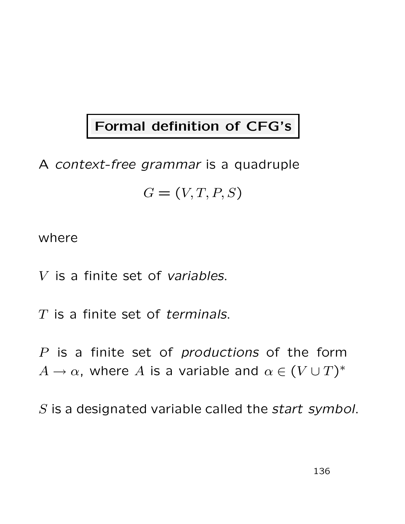# Formal definition of CFG's

# A context-free grammar is a quadruple  $G = (V, T, P, S)$

#### where

V is a finite set of variables.

 $T$  is a finite set of terminals.

P is a finite set of *productions* of the form  $A \to \alpha$ , where A is a variable and  $\alpha \in (V \cup T)^*$ 

S is a designated variable called the *start symbol*.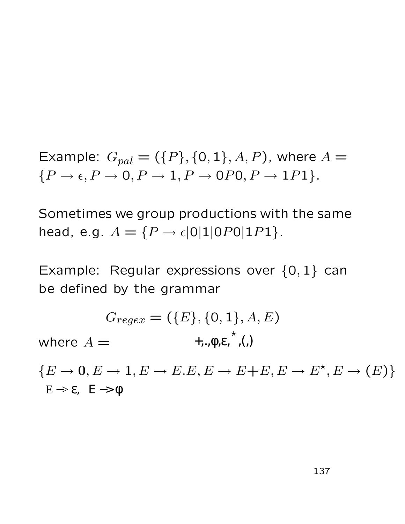Example:  $G_{pal} = (\{P\}, \{0, 1\}, A, P)$ , where  $A =$  ${P \rightarrow \epsilon, P \rightarrow 0, P \rightarrow 1, P \rightarrow 0P0, P \rightarrow 1P1}.$ 

Sometimes we group productions with the same head, e.g.  $A = \{P \to \epsilon | 0 | 1 | OP 0 | 1 P 1 \}.$ 

Example: Regular expressions over  $\{0,1\}$  can be defined by the grammar

$$
G_{regex} = (\{E\}, \{0, 1\}, A, E)
$$
  
where  $A = \leftarrow$ ,  
 $\leftarrow$ , $\phi, \varepsilon, \checkmark$ , $(, )$ 

 ${E \rightarrow 0, E \rightarrow 1, E \rightarrow E.E, E \rightarrow E + E, E \rightarrow E^*, E \rightarrow (E)}$  $E \rightarrow \varepsilon$ ,  $E \rightarrow \phi$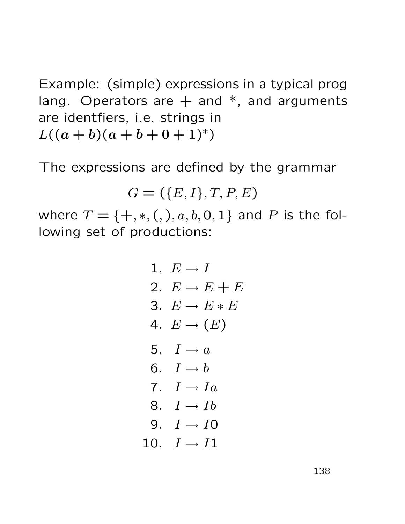Example: (simple) expressions in a typical prog lang. Operators are  $+$  and  $*$ , and arguments are identfiers, i.e. strings in  $L((a + b)(a + b + 0 + 1)^*)$ 

The expressions are defined by the grammar

$$
G = (\{E, I\}, T, P, E)
$$

where  $T = \{+, *, (),), a, b, 0, 1\}$  and P is the following set of productions:

1. 
$$
E \rightarrow I
$$
\n2.  $E \rightarrow E + E$ \n3.  $E \rightarrow E * E$ \n4.  $E \rightarrow (E)$ \n5.  $I \rightarrow a$ \n6.  $I \rightarrow b$ \n7.  $I \rightarrow Ia$ \n8.  $I \rightarrow Ib$ \n9.  $I \rightarrow IO$ \n10.  $I \rightarrow I1$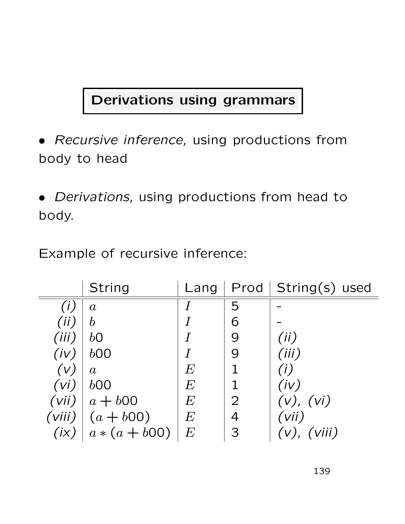# Derivations using grammars

- Recursive inference, using productions from body to head
- Derivations, using productions from head to body.

Example of recursive inference:

|       | String             |       |   | Lang   $Prod$   $String(s)$ used |
|-------|--------------------|-------|---|----------------------------------|
|       | $\boldsymbol{a}$   |       | 5 |                                  |
| (ii)  | $\boldsymbol{b}$   |       | 6 |                                  |
| (iii) | $b\Omega$          |       | 9 | (ii)                             |
| (iv)  | b00                |       | 9 | (iii)                            |
| (V)   | $\boldsymbol{a}$   | $\,E$ |   | (i)                              |
| (vi)  | b00                | E     |   | (iv)                             |
|       | $(vii)   a + b00$  | E     | 2 | (v), (vi)                        |
|       | (viii) $(a + b00)$ | E     | 4 | (vii)                            |
| (ix)  | $a * (a + b00)$    | E     | З | $(v)$ , $(viii)$                 |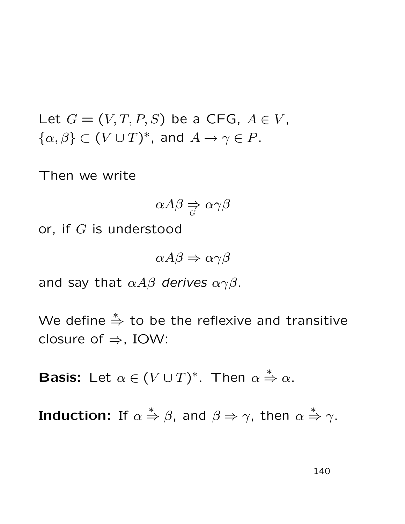Let  $G = (V, T, P, S)$  be a CFG,  $A \in V$ ,  $\{\alpha,\beta\} \subset (V \cup T)^*$ , and  $A \to \gamma \in P$ .

Then we write

$$
\alpha A\beta \underset{G}{\Rightarrow} \alpha \gamma \beta
$$

or, if  $G$  is understood

 $\alpha A\beta \Rightarrow \alpha \gamma \beta$ 

and say that  $\alpha A\beta$  derives  $\alpha\gamma\beta$ .

We define  $\stackrel{*}{\Rightarrow}$  to be the reflexive and transitive closure of  $\Rightarrow$ , IOW:

**Basis:** Let  $\alpha \in (V \cup T)^*$ . Then  $\alpha$  $\stackrel{*}{\Rightarrow} \alpha$ .

Induction: If  $\alpha$  $\stackrel{*}{\Rightarrow} \beta$ , and  $\beta \Rightarrow \gamma$ , then  $\alpha \stackrel{*}{\Rightarrow} \gamma$ .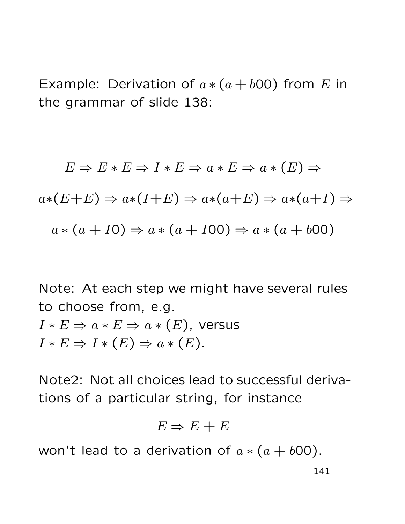Example: Derivation of  $a*(a + b00)$  from E in the grammar of slide 138:

$$
E \Rightarrow E * E \Rightarrow I * E \Rightarrow a * E \Rightarrow a * (E) \Rightarrow
$$
  

$$
a * (E + E) \Rightarrow a * (I + E) \Rightarrow a * (a + E) \Rightarrow a * (a + I) \Rightarrow
$$
  

$$
a * (a + I0) \Rightarrow a * (a + I00) \Rightarrow a * (a + b00)
$$

Note: At each step we might have several rules to choose from, e.g.  $I * E \Rightarrow a * E \Rightarrow a * (E)$ , versus  $I * E \Rightarrow I * (E) \Rightarrow a * (E).$ 

Note2: Not all choices lead to successful derivations of a particular string, for instance

$$
E \Rightarrow E + E
$$

won't lead to a derivation of  $a*(a + b00)$ .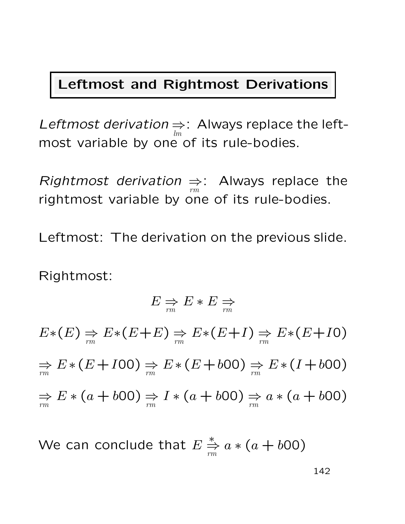## Leftmost and Rightmost Derivations

Leftmost derivation ⇒ lm : Always replace the leftmost variable by one of its rule-bodies.

Rightmost derivation ⇒ rm : Always replace the rightmost variable by one of its rule-bodies.

Leftmost: The derivation on the previous slide.

Rightmost:

$$
E \underset{rm}{\Rightarrow} E * E \underset{rm}{\Rightarrow}
$$
  
\n
$$
E * (E) \underset{rm}{\Rightarrow} E * (E + E) \underset{rm}{\Rightarrow} E * (E + I) \underset{rm}{\Rightarrow} E * (E + I0)
$$
  
\n
$$
\underset{rm}{\Rightarrow} E * (E + I00) \underset{rm}{\Rightarrow} E * (E + b00) \underset{rm}{\Rightarrow} E * (I + b00)
$$
  
\n
$$
\underset{rm}{\Rightarrow} E * (a + b00) \underset{rm}{\Rightarrow} I * (a + b00) \underset{rm}{\Rightarrow} a * (a + b00)
$$

We can conclude that  $E$ ∗ ⇒ rm  $a * (a + b00)$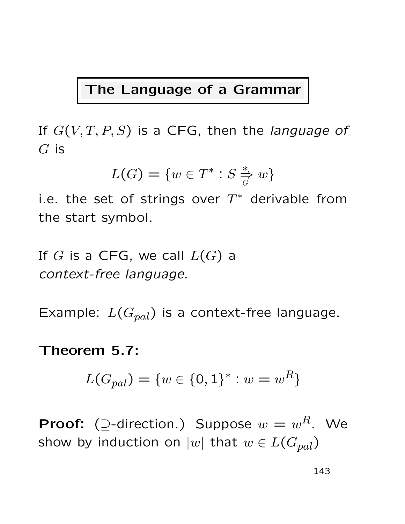### The Language of a Grammar

If  $G(V, T, P, S)$  is a CFG, then the language of  $G$  is

$$
L(G) = \{w \in T^* : S \stackrel{*}{\Rightarrow} w\}
$$

i.e. the set of strings over  $T^*$  derivable from the start symbol.

If G is a CFG, we call  $L(G)$  a context-free language.

Example:  $L(G_{pal})$  is a context-free language.

#### Theorem 5.7:

$$
L(G_{pal}) = \{w \in \{0, 1\}^* : w = w^R\}
$$

**Proof:** (2-direction.) Suppose  $w = w^R$ . We show by induction on  $|w|$  that  $w \in L(G_{pal})$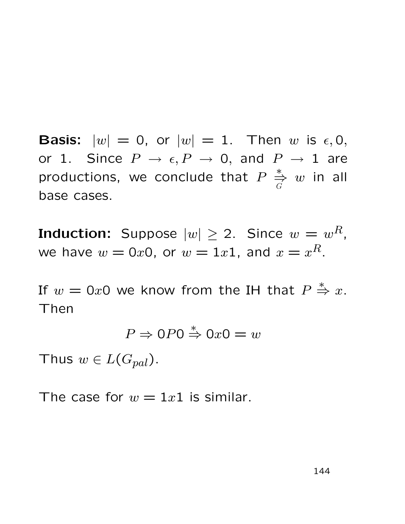**Basis:**  $|w| = 0$ , or  $|w| = 1$ . Then w is  $\epsilon, 0$ , or 1. Since  $P \rightarrow \epsilon, P \rightarrow 0$ , and  $P \rightarrow 1$  are productions, we conclude that  $P$ ∗ ⇒ G  $w$  in all base cases.

**Induction:** Suppose  $|w| \geq 2$ . Since  $w = w^R$ , we have  $w=0x0$ , or  $w=1x1$ , and  $x=x^R$ .

If  $w = 0x0$  we know from the IH that  $P$  $Rightarrow^* x.$ Then

$$
P \Rightarrow \mathbf{0}P\mathbf{0} \stackrel{*}{\Rightarrow} \mathbf{0}x\mathbf{0} = w
$$

Thus  $w \in L(G_{pal})$ .

The case for  $w = 1x1$  is similar.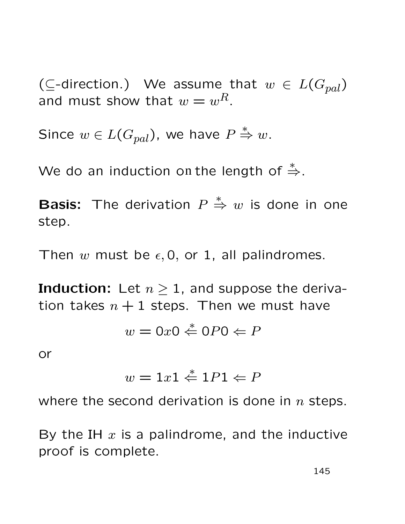( $\subseteq$ -direction.) We assume that  $w \in L(G_{pal})$ and must show that  $w = w^R$ .

Since  $w \in L(G_{pal})$ , we have  $P \overset{*}{\Rightarrow} w$ .

We do an induction on the length of  $\stackrel{*}{\Rightarrow}$ .

**Basis:** The derivation  $P$  $\stackrel{*}{\Rightarrow} w$  is done in one step.

Then w must be  $\epsilon$ , 0, or 1, all palindromes.

**Induction:** Let  $n \geq 1$ , and suppose the derivation takes  $n + 1$  steps. Then we must have

$$
w = 0x0 \stackrel{*}{\Leftarrow} 0P0 \Leftarrow P
$$

or

$$
w = 1x1 \stackrel{*}{\Leftarrow} 1P1 \Leftarrow P
$$

where the second derivation is done in  $n$  steps.

By the IH  $x$  is a palindrome, and the inductive proof is complete.

145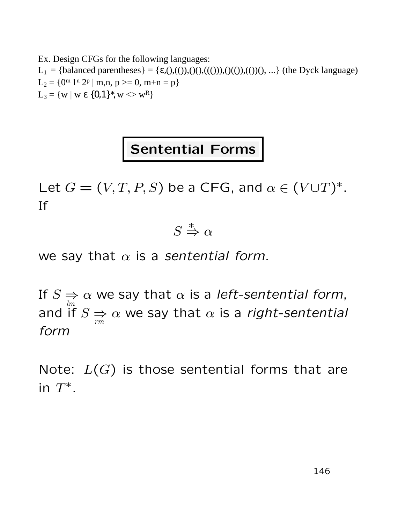Ex. Design CFGs for the following languages: L<sub>1</sub> = {balanced parentheses} = { $\varepsilon$ ,(),(()),()(),((())),((())((),(())(), ...} (the Dyck language)  $L_2 = \{0^m 1^n 2^p \mid m,n, p \ge 0, m+n = p\}$  $L_3 = \{ w \mid w \in \{0,1\}^*, w \ll w^R \}$ 

# Sentential Forms

Let  $G = (V, T, P, S)$  be a CFG, and  $\alpha \in (V \cup T)^*$ . If

> S  $\stackrel{*}{\Rightarrow} \alpha$

we say that  $\alpha$  is a sentential form.

If  $S \Rightarrow \alpha$  we say that  $\alpha$  is a left-sentential form, and  $\mathop{\sf inf}\limits^{lm} S \Rightarrow$ rm  $\alpha$  we say that  $\alpha$  is a right-sentential form

Note:  $L(G)$  is those sentential forms that are in  $T^*$ .